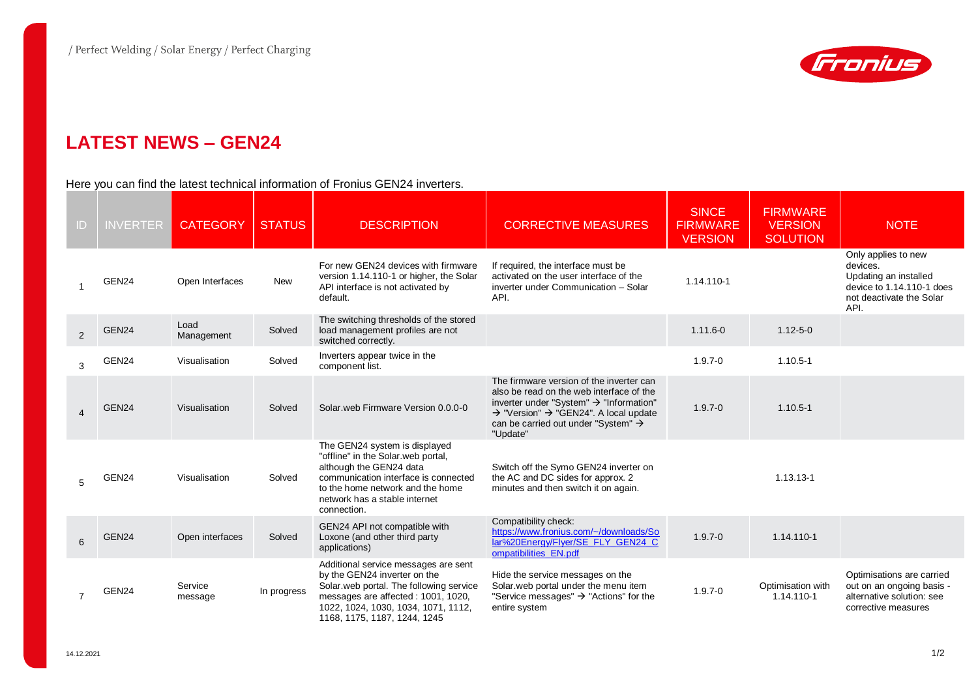

## **LATEST NEWS – GEN24**

## Here you can find the latest technical information of Fronius GEN24 inverters.

| ID             | <b>INVERTER</b> | <b>CATEGORY</b>    | <b>STATUS</b> | <b>DESCRIPTION</b>                                                                                                                                                                                                            | <b>CORRECTIVE MEASURES</b>                                                                                                                                                                                                                                                  | <b>SINCE</b><br><b>FIRMWARE</b><br><b>VERSION</b> | <b>FIRMWARE</b><br><b>VERSION</b><br><b>SOLUTION</b> | <b>NOTE</b>                                                                                                               |
|----------------|-----------------|--------------------|---------------|-------------------------------------------------------------------------------------------------------------------------------------------------------------------------------------------------------------------------------|-----------------------------------------------------------------------------------------------------------------------------------------------------------------------------------------------------------------------------------------------------------------------------|---------------------------------------------------|------------------------------------------------------|---------------------------------------------------------------------------------------------------------------------------|
|                | GEN24           | Open Interfaces    | <b>New</b>    | For new GEN24 devices with firmware<br>version 1.14.110-1 or higher, the Solar<br>API interface is not activated by<br>default.                                                                                               | If required, the interface must be<br>activated on the user interface of the<br>inverter under Communication - Solar<br>API.                                                                                                                                                | 1.14.110-1                                        |                                                      | Only applies to new<br>devices.<br>Updating an installed<br>device to 1.14.110-1 does<br>not deactivate the Solar<br>API. |
| 2              | GEN24           | Load<br>Management | Solved        | The switching thresholds of the stored<br>load management profiles are not<br>switched correctly.                                                                                                                             |                                                                                                                                                                                                                                                                             | $1.11.6 - 0$                                      | $1.12 - 5 - 0$                                       |                                                                                                                           |
| 3              | GEN24           | Visualisation      | Solved        | Inverters appear twice in the<br>component list.                                                                                                                                                                              |                                                                                                                                                                                                                                                                             | $1.9.7 - 0$                                       | $1.10.5 - 1$                                         |                                                                                                                           |
| $\overline{4}$ | GEN24           | Visualisation      | Solved        | Solar, web Firmware Version 0.0.0-0                                                                                                                                                                                           | The firmware version of the inverter can<br>also be read on the web interface of the<br>inverter under "System" $\rightarrow$ "Information"<br>$\rightarrow$ "Version" $\rightarrow$ "GEN24". A local update<br>can be carried out under "System" $\rightarrow$<br>"Update" | $1.9.7 - 0$                                       | $1.10.5 - 1$                                         |                                                                                                                           |
| 5              | GEN24           | Visualisation      | Solved        | The GEN24 system is displayed<br>"offline" in the Solar.web portal,<br>although the GEN24 data<br>communication interface is connected<br>to the home network and the home<br>network has a stable internet<br>connection.    | Switch off the Symo GEN24 inverter on<br>the AC and DC sides for approx. 2<br>minutes and then switch it on again.                                                                                                                                                          |                                                   | 1.13.13-1                                            |                                                                                                                           |
| 6              | GEN24           | Open interfaces    | Solved        | GEN24 API not compatible with<br>Loxone (and other third party<br>applications)                                                                                                                                               | Compatibility check:<br>https://www.fronius.com/~/downloads/So<br>lar%20Energy/Flyer/SE FLY GEN24 C<br>ompatibilities EN.pdf                                                                                                                                                | $1.9.7 - 0$                                       | 1.14.110-1                                           |                                                                                                                           |
| $\overline{7}$ | GEN24           | Service<br>message | In progress   | Additional service messages are sent<br>by the GEN24 inverter on the<br>Solar web portal. The following service<br>messages are affected : 1001, 1020,<br>1022, 1024, 1030, 1034, 1071, 1112,<br>1168, 1175, 1187, 1244, 1245 | Hide the service messages on the<br>Solar web portal under the menu item<br>"Service messages" $\rightarrow$ "Actions" for the<br>entire system                                                                                                                             | $1.9.7 - 0$                                       | Optimisation with<br>1.14.110-1                      | Optimisations are carried<br>out on an ongoing basis -<br>alternative solution: see<br>corrective measures                |